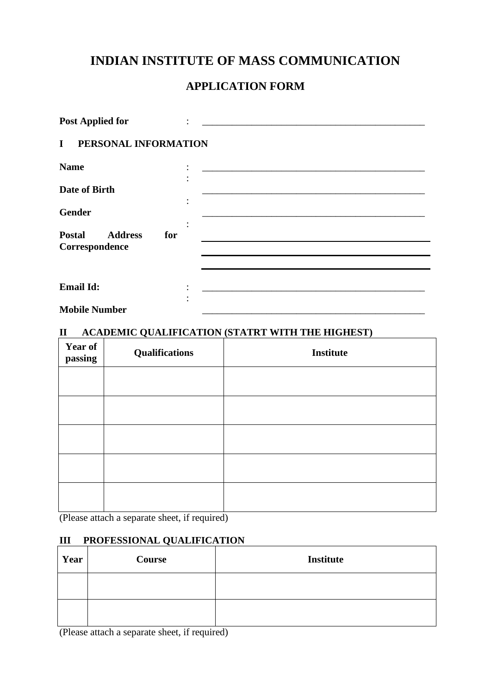# **INDIAN INSTITUTE OF MASS COMMUNICATION**

# **APPLICATION FORM**

| <b>Post Applied for</b>                                  |  |
|----------------------------------------------------------|--|
| $\mathbf{I}$<br>PERSONAL INFORMATION                     |  |
| <b>Name</b>                                              |  |
| Date of Birth                                            |  |
| <b>Gender</b>                                            |  |
| <b>Postal</b><br><b>Address</b><br>for<br>Correspondence |  |
|                                                          |  |
| <b>Email Id:</b>                                         |  |
| <b>Mobile Number</b>                                     |  |

#### **II ACADEMIC QUALIFICATION (STATRT WITH THE HIGHEST)**

| <b>Year of</b><br>passing | <b>Qualifications</b> | <b>Institute</b> |
|---------------------------|-----------------------|------------------|
|                           |                       |                  |
|                           |                       |                  |
|                           |                       |                  |
|                           |                       |                  |
|                           |                       |                  |

(Please attach a separate sheet, if required)

## **III PROFESSIONAL QUALIFICATION**

| Year | Course | <b>Institute</b> |
|------|--------|------------------|
|      |        |                  |
|      |        |                  |

(Please attach a separate sheet, if required)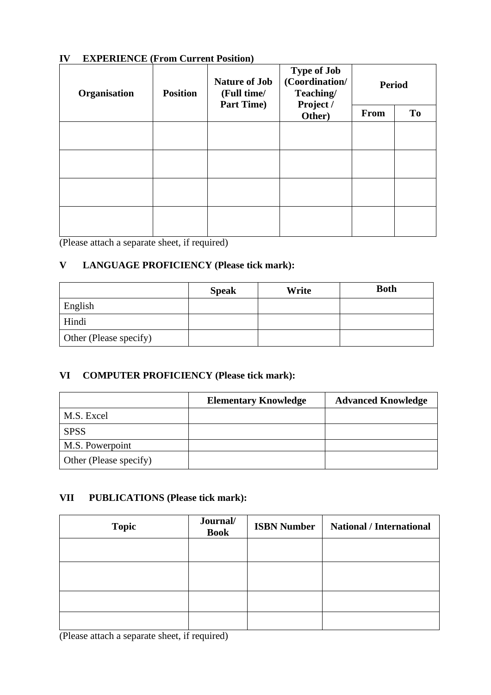## **IV EXPERIENCE (From Current Position)**

| Organisation | <b>Nature of Job</b><br><b>Position</b><br>(Full time/<br><b>Part Time)</b> |  | <b>Type of Job</b><br>(Coordination/<br>Teaching/ | <b>Period</b> |    |
|--------------|-----------------------------------------------------------------------------|--|---------------------------------------------------|---------------|----|
|              |                                                                             |  | Project /<br>Other)                               | From          | To |
|              |                                                                             |  |                                                   |               |    |
|              |                                                                             |  |                                                   |               |    |
|              |                                                                             |  |                                                   |               |    |
|              |                                                                             |  |                                                   |               |    |

(Please attach a separate sheet, if required)

## **V LANGUAGE PROFICIENCY (Please tick mark):**

|                        | <b>Speak</b> | Write | <b>Both</b> |
|------------------------|--------------|-------|-------------|
| English                |              |       |             |
| Hindi                  |              |       |             |
| Other (Please specify) |              |       |             |

### **VI COMPUTER PROFICIENCY (Please tick mark):**

|                        | <b>Elementary Knowledge</b> | <b>Advanced Knowledge</b> |
|------------------------|-----------------------------|---------------------------|
| M.S. Excel             |                             |                           |
| <b>SPSS</b>            |                             |                           |
| M.S. Powerpoint        |                             |                           |
| Other (Please specify) |                             |                           |

#### **VII PUBLICATIONS (Please tick mark):**

| <b>Topic</b> | Journal/<br><b>Book</b> | <b>ISBN Number</b> | <b>National / International</b> |
|--------------|-------------------------|--------------------|---------------------------------|
|              |                         |                    |                                 |
|              |                         |                    |                                 |
|              |                         |                    |                                 |
|              |                         |                    |                                 |

(Please attach a separate sheet, if required)